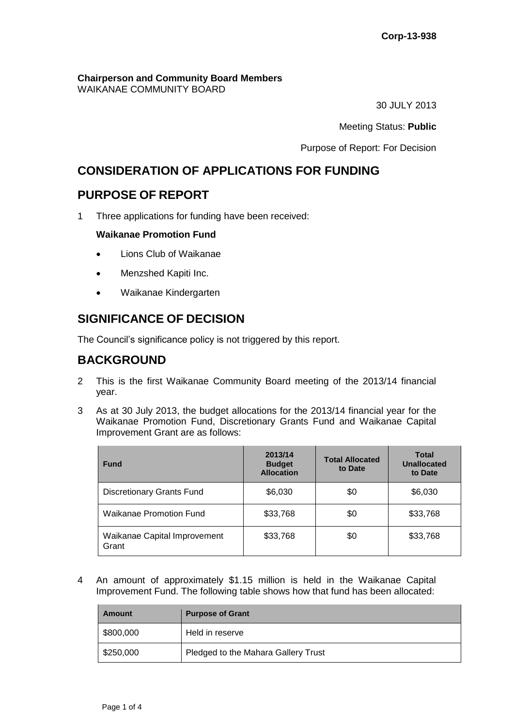# **Chairperson and Community Board Members**

WAIKANAE COMMUNITY BOARD

30 JULY 2013

Meeting Status: **Public**

Purpose of Report: For Decision

# **CONSIDERATION OF APPLICATIONS FOR FUNDING**

# **PURPOSE OF REPORT**

1 Three applications for funding have been received:

## **Waikanae Promotion Fund**

- Lions Club of Waikanae
- Menzshed Kapiti Inc.
- Waikanae Kindergarten

# **SIGNIFICANCE OF DECISION**

The Council's significance policy is not triggered by this report.

# **BACKGROUND**

- 2 This is the first Waikanae Community Board meeting of the 2013/14 financial year.
- 3 As at 30 July 2013, the budget allocations for the 2013/14 financial year for the Waikanae Promotion Fund, Discretionary Grants Fund and Waikanae Capital Improvement Grant are as follows:

| <b>Fund</b>                           | 2013/14<br><b>Budget</b><br><b>Allocation</b> | <b>Total Allocated</b><br>to Date | <b>Total</b><br><b>Unallocated</b><br>to Date |
|---------------------------------------|-----------------------------------------------|-----------------------------------|-----------------------------------------------|
| <b>Discretionary Grants Fund</b>      | \$6,030                                       | \$0                               | \$6,030                                       |
| Waikanae Promotion Fund               | \$33,768                                      | \$0                               | \$33,768                                      |
| Waikanae Capital Improvement<br>Grant | \$33,768                                      | \$0                               | \$33,768                                      |

4 An amount of approximately \$1.15 million is held in the Waikanae Capital Improvement Fund. The following table shows how that fund has been allocated:

| Amount    | <b>Purpose of Grant</b>             |
|-----------|-------------------------------------|
| \$800,000 | Held in reserve                     |
| \$250,000 | Pledged to the Mahara Gallery Trust |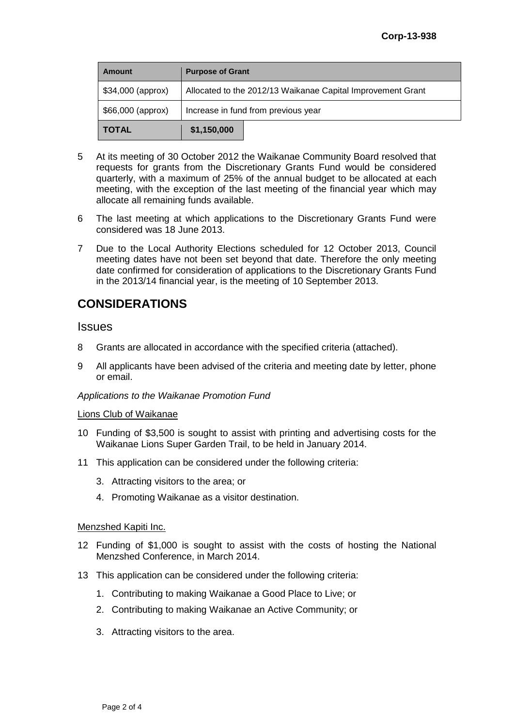| Amount            | <b>Purpose of Grant</b>                                     |  |  |
|-------------------|-------------------------------------------------------------|--|--|
| \$34,000 (approx) | Allocated to the 2012/13 Waikanae Capital Improvement Grant |  |  |
| \$66,000 (approx) | Increase in fund from previous year                         |  |  |
| <b>TOTAL</b>      | \$1,150,000                                                 |  |  |

- 5 At its meeting of 30 October 2012 the Waikanae Community Board resolved that requests for grants from the Discretionary Grants Fund would be considered quarterly, with a maximum of 25% of the annual budget to be allocated at each meeting, with the exception of the last meeting of the financial year which may allocate all remaining funds available.
- 6 The last meeting at which applications to the Discretionary Grants Fund were considered was 18 June 2013.
- 7 Due to the Local Authority Elections scheduled for 12 October 2013, Council meeting dates have not been set beyond that date. Therefore the only meeting date confirmed for consideration of applications to the Discretionary Grants Fund in the 2013/14 financial year, is the meeting of 10 September 2013.

## **CONSIDERATIONS**

## **Issues**

- 8 Grants are allocated in accordance with the specified criteria (attached).
- 9 All applicants have been advised of the criteria and meeting date by letter, phone or email.

### *Applications to the Waikanae Promotion Fund*

#### Lions Club of Waikanae

- 10 Funding of \$3,500 is sought to assist with printing and advertising costs for the Waikanae Lions Super Garden Trail, to be held in January 2014.
- 11 This application can be considered under the following criteria:
	- 3. Attracting visitors to the area; or
	- 4. Promoting Waikanae as a visitor destination.

### Menzshed Kapiti Inc.

- 12 Funding of \$1,000 is sought to assist with the costs of hosting the National Menzshed Conference, in March 2014.
- 13 This application can be considered under the following criteria:
	- 1. Contributing to making Waikanae a Good Place to Live; or
	- 2. Contributing to making Waikanae an Active Community; or
	- 3. Attracting visitors to the area.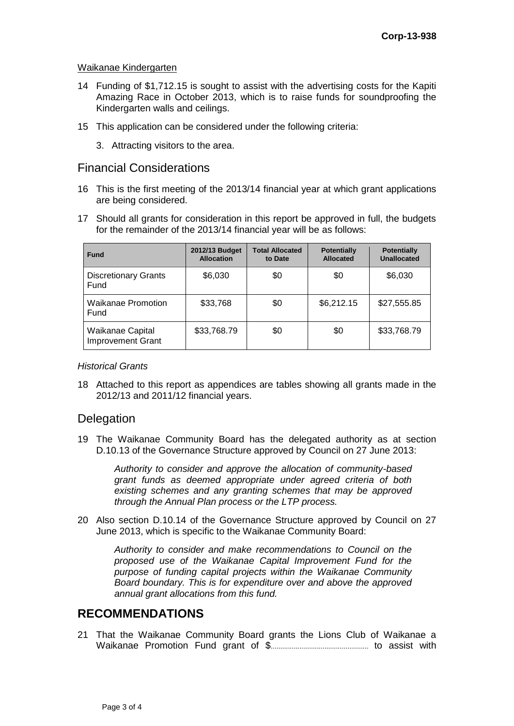#### Waikanae Kindergarten

- 14 Funding of \$1,712.15 is sought to assist with the advertising costs for the Kapiti Amazing Race in October 2013, which is to raise funds for soundproofing the Kindergarten walls and ceilings.
- 15 This application can be considered under the following criteria:
	- 3. Attracting visitors to the area.

## Financial Considerations

- 16 This is the first meeting of the 2013/14 financial year at which grant applications are being considered.
- 17 Should all grants for consideration in this report be approved in full, the budgets for the remainder of the 2013/14 financial year will be as follows:

| <b>Fund</b>                                  | 2012/13 Budget<br><b>Allocation</b> | <b>Total Allocated</b><br>to Date | <b>Potentially</b><br><b>Allocated</b> | <b>Potentially</b><br>Unallocated |
|----------------------------------------------|-------------------------------------|-----------------------------------|----------------------------------------|-----------------------------------|
| <b>Discretionary Grants</b><br>Fund          | \$6,030                             | \$0                               | \$0                                    | \$6,030                           |
| <b>Waikanae Promotion</b><br>Fund            | \$33,768                            | \$0                               | \$6,212.15                             | \$27,555.85                       |
| Waikanae Capital<br><b>Improvement Grant</b> | \$33,768.79                         | \$0                               | \$0                                    | \$33,768.79                       |

#### *Historical Grants*

18 Attached to this report as appendices are tables showing all grants made in the 2012/13 and 2011/12 financial years.

## Delegation

19 The Waikanae Community Board has the delegated authority as at section D.10.13 of the Governance Structure approved by Council on 27 June 2013:

> *Authority to consider and approve the allocation of community-based grant funds as deemed appropriate under agreed criteria of both existing schemes and any granting schemes that may be approved through the Annual Plan process or the LTP process.*

20 Also section D.10.14 of the Governance Structure approved by Council on 27 June 2013, which is specific to the Waikanae Community Board:

> *Authority to consider and make recommendations to Council on the proposed use of the Waikanae Capital Improvement Fund for the purpose of funding capital projects within the Waikanae Community Board boundary. This is for expenditure over and above the approved annual grant allocations from this fund.*

## **RECOMMENDATIONS**

21 That the Waikanae Community Board grants the Lions Club of Waikanae a Waikanae Promotion Fund grant of \$................................................... to assist with